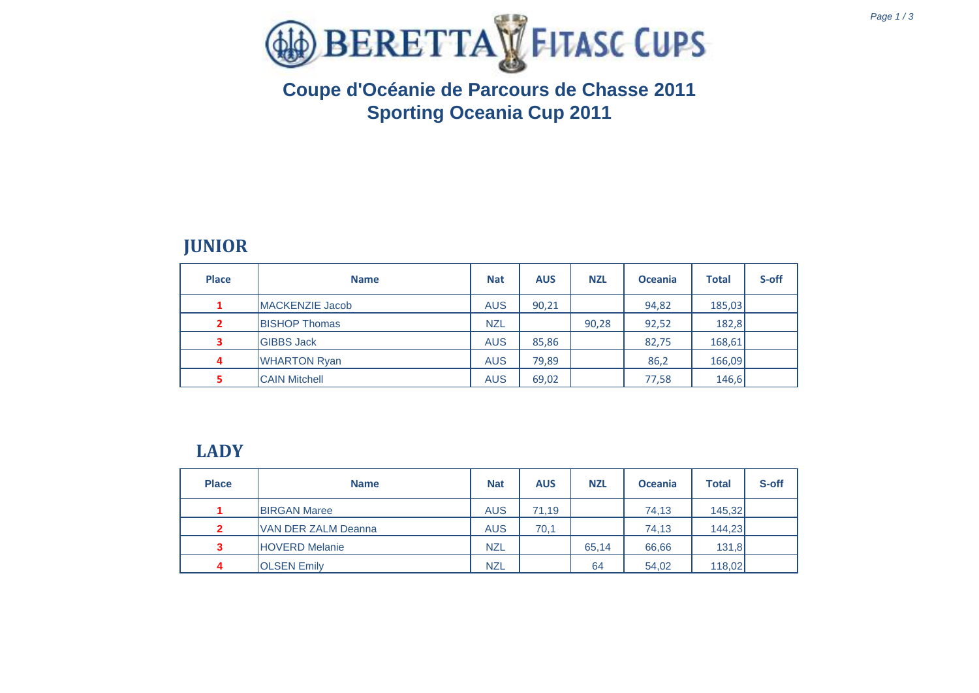

# **Coupe d'Océanie de Parcours de Chasse 2011 Sporting Oceania Cup 2011**

### **JUNIOR**

| <b>Place</b>            | <b>Name</b>             | <b>Nat</b> | <b>AUS</b> | <b>NZL</b> | <b>Oceania</b> | <b>Total</b> | S-off |
|-------------------------|-------------------------|------------|------------|------------|----------------|--------------|-------|
| 1                       | <b>IMACKENZIE Jacob</b> | <b>AUS</b> | 90,21      |            | 94,82          | 185,03       |       |
| $\overline{\mathbf{2}}$ | <b>BISHOP Thomas</b>    | <b>NZL</b> |            | 90,28      | 92,52          | 182,8        |       |
| 3                       | <b>GIBBS Jack</b>       | <b>AUS</b> | 85,86      |            | 82,75          | 168,61       |       |
| 4                       | <b>WHARTON Ryan</b>     | <b>AUS</b> | 79,89      |            | 86,2           | 166,09       |       |
|                         | <b>CAIN Mitchell</b>    | <b>AUS</b> | 69,02      |            | 77,58          | 146,6        |       |

#### **LADY**

| <b>Place</b> | <b>Name</b>           | <b>Nat</b> | <b>AUS</b> | <b>NZL</b> | <b>Oceania</b> | <b>Total</b> | S-off |
|--------------|-----------------------|------------|------------|------------|----------------|--------------|-------|
|              | <b>BIRGAN Maree</b>   | <b>AUS</b> | 71.19      |            | 74,13          | 145,32       |       |
| $\mathbf{2}$ | VAN DER ZALM Deanna   | <b>AUS</b> | 70,1       |            | 74,13          | 144,23       |       |
| 3            | <b>HOVERD Melanie</b> | <b>NZL</b> |            | 65.14      | 66,66          | 131,8        |       |
| 4            | <b>OLSEN Emily</b>    | <b>NZL</b> |            | 64         | 54,02          | 118,02       |       |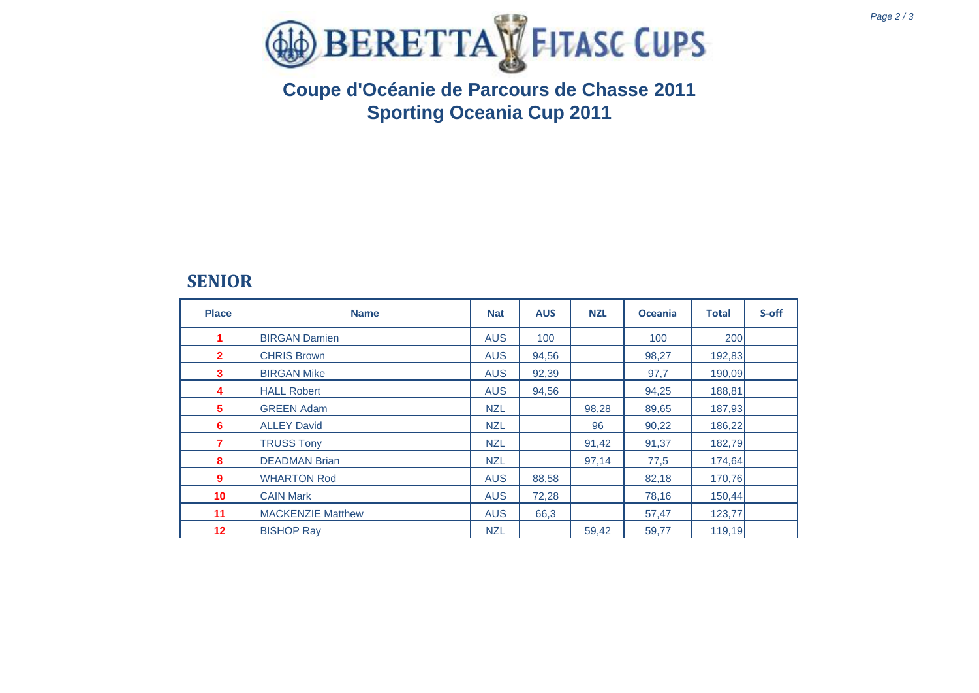



# **Coupe d'Océanie de Parcours de Chasse 2011 Sporting Oceania Cup 2011**

### **SENIOR**

| <b>Place</b>    | <b>Name</b>              | <b>Nat</b> | <b>AUS</b> | <b>NZL</b> | <b>Oceania</b> | <b>Total</b> | S-off |
|-----------------|--------------------------|------------|------------|------------|----------------|--------------|-------|
| 1               | <b>BIRGAN Damien</b>     | <b>AUS</b> | 100        |            | 100            | 200          |       |
| $\overline{2}$  | <b>CHRIS Brown</b>       | <b>AUS</b> | 94,56      |            | 98,27          | 192,83       |       |
| 3               | <b>BIRGAN Mike</b>       | <b>AUS</b> | 92,39      |            | 97,7           | 190,09       |       |
| 4               | <b>HALL Robert</b>       | <b>AUS</b> | 94,56      |            | 94,25          | 188,81       |       |
| 5               | <b>GREEN Adam</b>        | <b>NZL</b> |            | 98,28      | 89,65          | 187,93       |       |
| 6               | <b>ALLEY David</b>       | <b>NZL</b> |            | 96         | 90,22          | 186,22       |       |
| 7               | <b>TRUSS Tony</b>        | <b>NZL</b> |            | 91,42      | 91,37          | 182,79       |       |
| 8               | <b>DEADMAN Brian</b>     | <b>NZL</b> |            | 97,14      | 77,5           | 174,64       |       |
| 9               | <b>WHARTON Rod</b>       | <b>AUS</b> | 88,58      |            | 82,18          | 170,76       |       |
| 10 <sup>°</sup> | <b>CAIN Mark</b>         | <b>AUS</b> | 72,28      |            | 78,16          | 150,44       |       |
| 11              | <b>MACKENZIE Matthew</b> | <b>AUS</b> | 66,3       |            | 57,47          | 123,77       |       |
| 12 <sub>2</sub> | <b>BISHOP Ray</b>        | <b>NZL</b> |            | 59,42      | 59,77          | 119,19       |       |